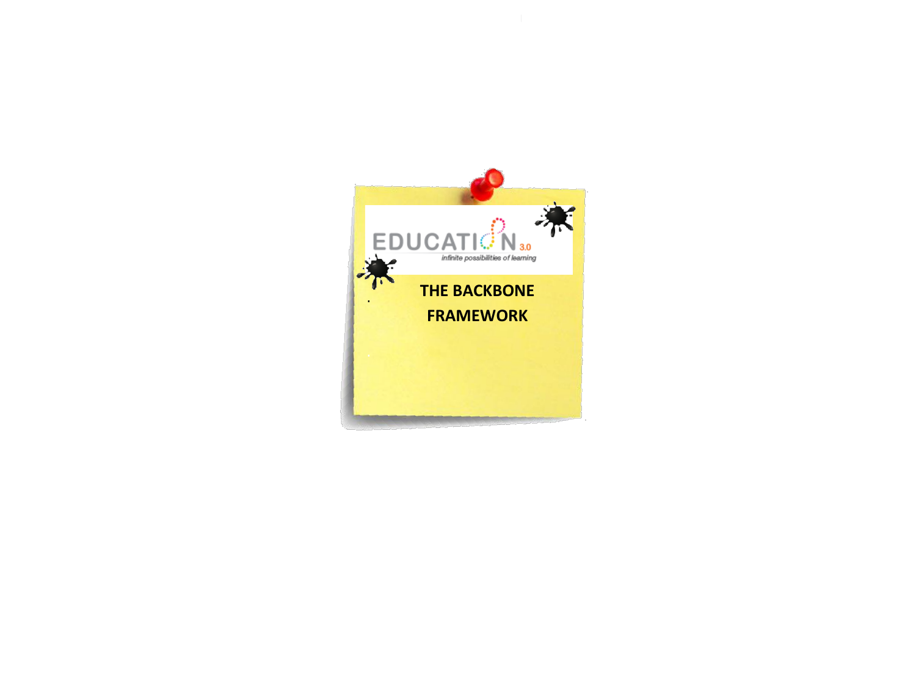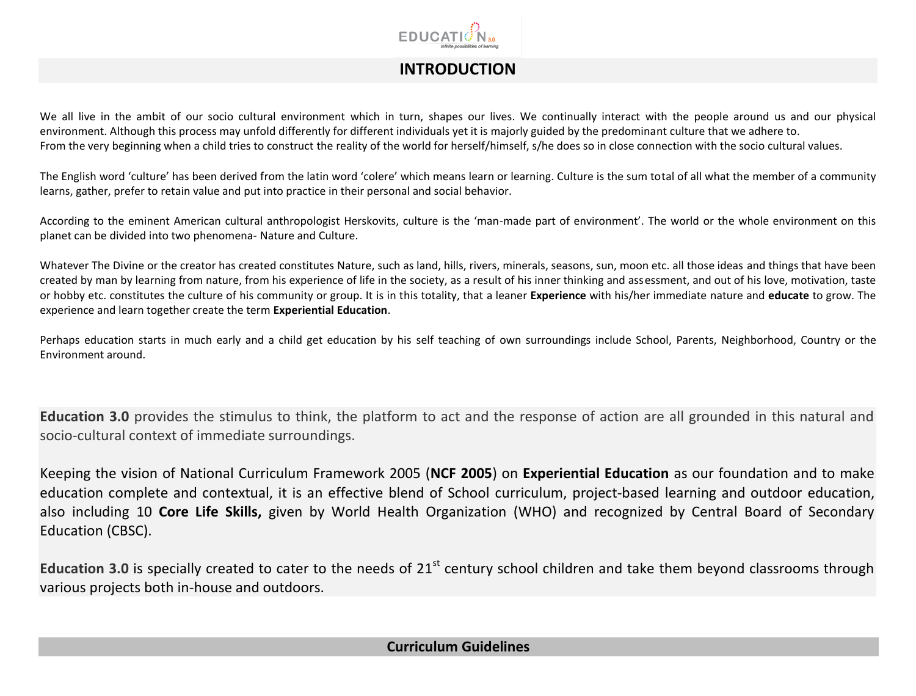

## **INTRODUCTION**

We all live in the ambit of our socio cultural environment which in turn, shapes our lives. We continually interact with the people around us and our physical environment. Although this process may unfold differently for different individuals yet it is majorly guided by the predominant culture that we adhere to. From the very beginning when a child tries to construct the reality of the world for herself/himself, s/he does so in close connection with the socio cultural values.

The English word 'culture' has been derived from the latin word 'colere' which means learn or learning. Culture is the sum total of all what the member of a community learns, gather, prefer to retain value and put into practice in their personal and social behavior.

According to the eminent American cultural anthropologist Herskovits, culture is the 'man-made part of environment'. The world or the whole environment on this planet can be divided into two phenomena- Nature and Culture.

Whatever The Divine or the creator has created constitutes Nature, such as land, hills, rivers, minerals, seasons, sun, moon etc. all those ideas and things that have been created by man by learning from nature, from his experience of life in the society, as a result of his inner thinking and assessment, and out of his love, motivation, taste or hobby etc. constitutes the culture of his community or group. It is in this totality, that a leaner **Experience** with his/her immediate nature and **educate** to grow. The experience and learn together create the term **Experiential Education**.

Perhaps education starts in much early and a child get education by his self teaching of own surroundings include School, Parents, Neighborhood, Country or the Environment around.

**Education 3.0** provides the stimulus to think, the platform to act and the response of action are all grounded in this natural and socio-cultural context of immediate surroundings.

Keeping the vision of National Curriculum Framework 2005 (**NCF 2005**) on **Experiential Education** as our foundation and to make education complete and contextual, it is an effective blend of School curriculum, project-based learning and outdoor education, also including 10 **Core Life Skills,** given by World Health Organization (WHO) and recognized by Central Board of Secondary Education (CBSC).

**Education 3.0** is specially created to cater to the needs of 21<sup>st</sup> century school children and take them beyond classrooms through various projects both in-house and outdoors.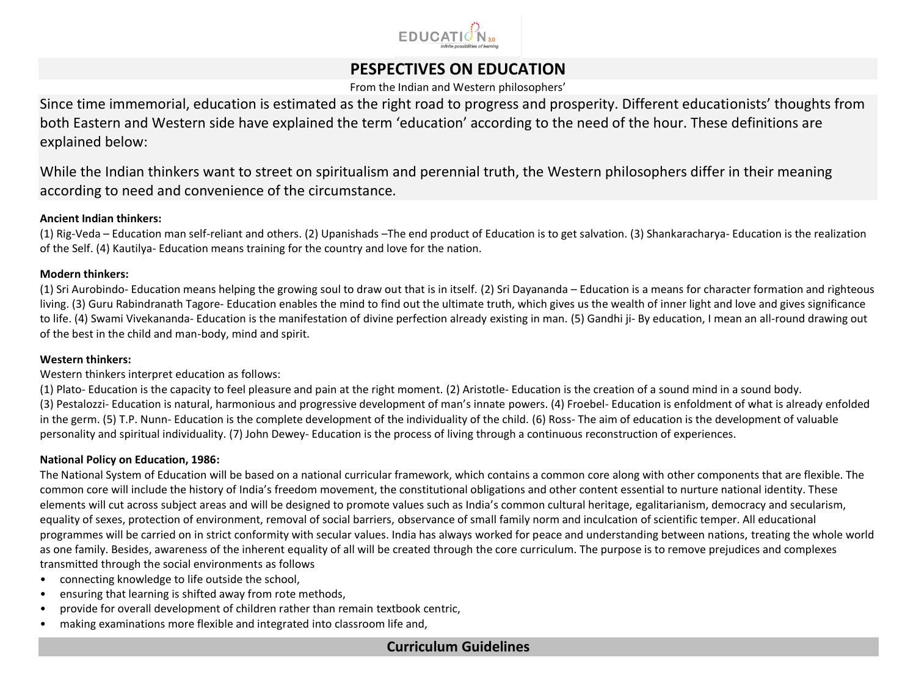

# **PESPECTIVES ON EDUCATION**

From the Indian and Western philosophers'

Since time immemorial, education is estimated as the right road to progress and prosperity. Different educationists' thoughts from both Eastern and Western side have explained the term 'education' according to the need of the hour. These definitions are explained below:

While the Indian thinkers want to street on spiritualism and perennial truth, the Western philosophers differ in their meaning according to need and convenience of the circumstance.

#### **Ancient Indian thinkers:**

(1) Rig-Veda – Education man self-reliant and others. (2) Upanishads –The end product of Education is to get salvation. (3) Shankaracharya- Education is the realization of the Self. (4) Kautilya- Education means training for the country and love for the nation.

#### **Modern thinkers:**

(1) Sri Aurobindo- Education means helping the growing soul to draw out that is in itself. (2) Sri Dayananda – Education is a means for character formation and righteous living. (3) Guru Rabindranath Tagore- Education enables the mind to find out the ultimate truth, which gives us the wealth of inner light and love and gives significance to life. (4) Swami Vivekananda- Education is the manifestation of divine perfection already existing in man. (5) Gandhi ji- By education, I mean an all-round drawing out of the best in the child and man-body, mind and spirit.

#### **Western thinkers:**

Western thinkers interpret education as follows:

(1) Plato- Education is the capacity to feel pleasure and pain at the right moment. (2) Aristotle- Education is the creation of a sound mind in a sound body. (3) Pestalozzi- Education is natural, harmonious and progressive development of man's innate powers. (4) Froebel- Education is enfoldment of what is already enfolded in the germ. (5) T.P. Nunn- Education is the complete development of the individuality of the child. (6) Ross- The aim of education is the development of valuable personality and spiritual individuality. (7) John Dewey- Education is the process of living through a continuous reconstruction of experiences.

#### **National Policy on Education, 1986:**

The National System of Education will be based on a national curricular framework, which contains a common core along with other components that are flexible. The common core will include the history of India's freedom movement, the constitutional obligations and other content essential to nurture national identity. These elements will cut across subject areas and will be designed to promote values such as India's common cultural heritage, egalitarianism, democracy and secularism, equality of sexes, protection of environment, removal of social barriers, observance of small family norm and inculcation of scientific temper. All educational programmes will be carried on in strict conformity with secular values. India has always worked for peace and understanding between nations, treating the whole world as one family. Besides, awareness of the inherent equality of all will be created through the core curriculum. The purpose is to remove prejudices and complexes transmitted through the social environments as follows

- connecting knowledge to life outside the school,
- ensuring that learning is shifted away from rote methods,
- provide for overall development of children rather than remain textbook centric,
- making examinations more flexible and integrated into classroom life and,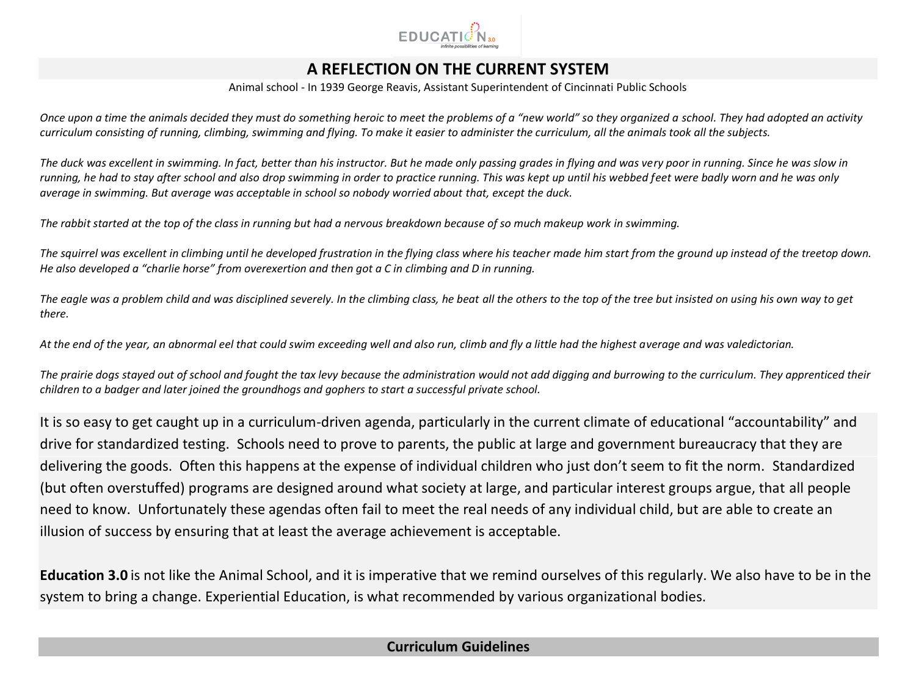

# **A REFLECTION ON THE CURRENT SYSTEM**

Animal school - In 1939 George Reavis, Assistant Superintendent of Cincinnati Public Schools

*Once upon a time the animals decided they must do something heroic to meet the problems of a "new world" so they organized a school. They had adopted an activity curriculum consisting of running, climbing, swimming and flying. To make it easier to administer the curriculum, all the animals took all the subjects.*

*The duck was excellent in swimming. In fact, better than his instructor. But he made only passing grades in flying and was very poor in running. Since he was slow in running, he had to stay after school and also drop swimming in order to practice running. This was kept up until his webbed feet were badly worn and he was only average in swimming. But average was acceptable in school so nobody worried about that, except the duck.*

*The rabbit started at the top of the class in running but had a nervous breakdown because of so much makeup work in swimming.*

*The squirrel was excellent in climbing until he developed frustration in the flying class where his teacher made him start from the ground up instead of the treetop down. He also developed a "charlie horse" from overexertion and then got a C in climbing and D in running.*

*The eagle was a problem child and was disciplined severely. In the climbing class, he beat all the others to the top of the tree but insisted on using his own way to get there.*

*At the end of the year, an abnormal eel that could swim exceeding well and also run, climb and fly a little had the highest average and was valedictorian.*

*The prairie dogs stayed out of school and fought the tax levy because the administration would not add digging and burrowing to the curriculum. They apprenticed their children to a badger and later joined the groundhogs and gophers to start a successful private school.*

It is so easy to get caught up in a curriculum-driven agenda, particularly in the current climate of educational "accountability" and drive for standardized testing. Schools need to prove to parents, the public at large and government bureaucracy that they are delivering the goods. Often this happens at the expense of individual children who just don't seem to fit the norm. Standardized (but often overstuffed) programs are designed around what society at large, and particular interest groups argue, that all people need to know. Unfortunately these agendas often fail to meet the real needs of any individual child, but are able to create an illusion of success by ensuring that at least the average achievement is acceptable.

**Education 3.0** is not like the Animal School, and it is imperative that we remind ourselves of this regularly. We also have to be in the system to bring a change. Experiential Education, is what recommended by various organizational bodies.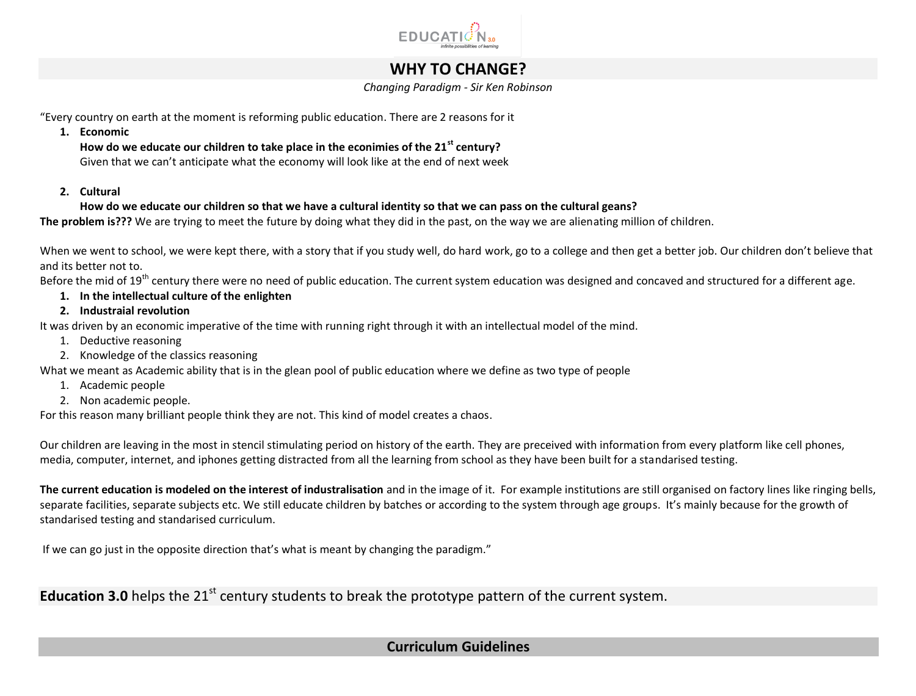

## **WHY TO CHANGE?**

*Changing Paradigm - Sir Ken Robinson*

"Every country on earth at the moment is reforming public education. There are 2 reasons for it

**1. Economic**

**How do we educate our children to take place in the econimies of the 21st century?**

Given that we can't anticipate what the economy will look like at the end of next week

**2. Cultural** 

#### **How do we educate our children so that we have a cultural identity so that we can pass on the cultural geans?**

**The problem is???** We are trying to meet the future by doing what they did in the past, on the way we are alienating million of children.

When we went to school, we were kept there, with a story that if you study well, do hard work, go to a college and then get a better job. Our children don't believe that and its better not to.

Before the mid of 19<sup>th</sup> century there were no need of public education. The current system education was designed and concaved and structured for a different age.

#### **1. In the intellectual culture of the enlighten**

#### **2. Industraial revolution**

It was driven by an economic imperative of the time with running right through it with an intellectual model of the mind.

- 1. Deductive reasoning
- 2. Knowledge of the classics reasoning

What we meant as Academic ability that is in the glean pool of public education where we define as two type of people

- 1. Academic people
- 2. Non academic people.

For this reason many brilliant people think they are not. This kind of model creates a chaos.

Our children are leaving in the most in stencil stimulating period on history of the earth. They are preceived with information from every platform like cell phones, media, computer, internet, and iphones getting distracted from all the learning from school as they have been built for a standarised testing.

**The current education is modeled on the interest of industralisation** and in the image of it. For example institutions are still organised on factory lines like ringing bells, separate facilities, separate subjects etc. We still educate children by batches or according to the system through age groups. It's mainly because for the growth of standarised testing and standarised curriculum.

If we can go just in the opposite direction that's what is meant by changing the paradigm."

**Education 3.0** helps the 21<sup>st</sup> century students to break the prototype pattern of the current system.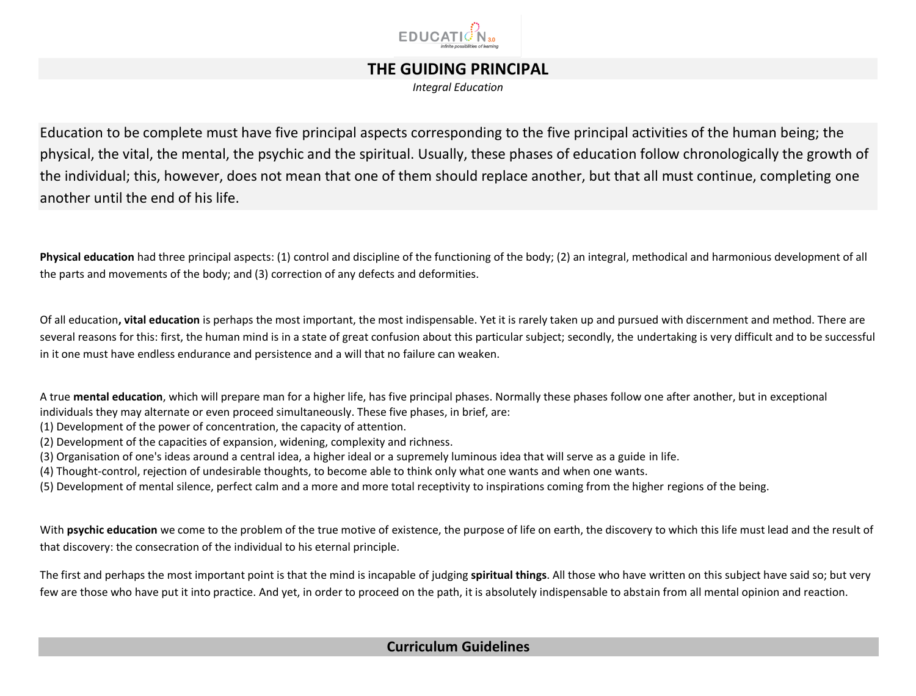

### **THE GUIDING PRINCIPAL**

*Integral Education*

Education to be complete must have five principal aspects corresponding to the five principal activities of the human being; the physical, the vital, the mental, the psychic and the spiritual. Usually, these phases of education follow chronologically the growth of the individual; this, however, does not mean that one of them should replace another, but that all must continue, completing one another until the end of his life.

**Physical education** had three principal aspects: (1) control and discipline of the functioning of the body; (2) an integral, methodical and harmonious development of all the parts and movements of the body; and (3) correction of any defects and deformities.

Of all education**, vital education** is perhaps the most important, the most indispensable. Yet it is rarely taken up and pursued with discernment and method. There are several reasons for this: first, the human mind is in a state of great confusion about this particular subject; secondly, the undertaking is very difficult and to be successful in it one must have endless endurance and persistence and a will that no failure can weaken.

A true **mental education**, which will prepare man for a higher life, has five principal phases. Normally these phases follow one after another, but in exceptional individuals they may alternate or even proceed simultaneously. These five phases, in brief, are:

- (1) Development of the power of concentration, the capacity of attention.
- (2) Development of the capacities of expansion, widening, complexity and richness.
- (3) Organisation of one's ideas around a central idea, a higher ideal or a supremely luminous idea that will serve as a guide in life.
- (4) Thought-control, rejection of undesirable thoughts, to become able to think only what one wants and when one wants.
- (5) Development of mental silence, perfect calm and a more and more total receptivity to inspirations coming from the higher regions of the being.

With **psychic education** we come to the problem of the true motive of existence, the purpose of life on earth, the discovery to which this life must lead and the result of that discovery: the consecration of the individual to his eternal principle.

The first and perhaps the most important point is that the mind is incapable of judging **spiritual things**. All those who have written on this subject have said so; but very few are those who have put it into practice. And yet, in order to proceed on the path, it is absolutely indispensable to abstain from all mental opinion and reaction.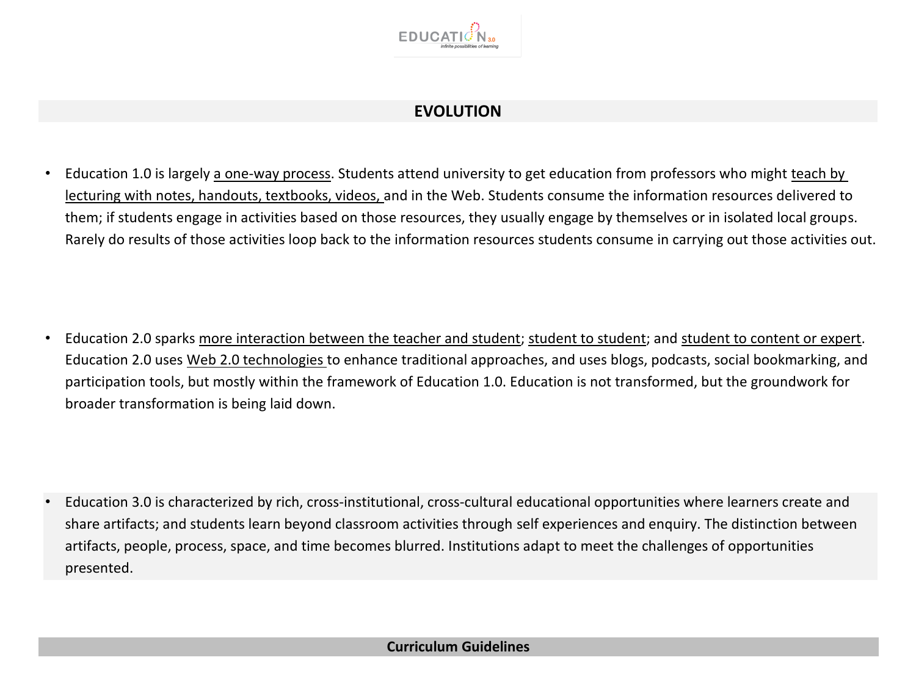

# **EVOLUTION**

• Education 1.0 is largely a one-way process. Students attend university to get education from professors who might teach by lecturing with notes, handouts, textbooks, videos, and in the Web. Students consume the information resources delivered to them; if students engage in activities based on those resources, they usually engage by themselves or in isolated local groups. Rarely do results of those activities loop back to the information resources students consume in carrying out those activities out.

• Education 2.0 sparks more interaction between the teacher and student; student to student; and student to content or expert. Education 2.0 uses Web 2.0 technologies to enhance traditional approaches, and uses blogs, podcasts, social bookmarking, and participation tools, but mostly within the framework of Education 1.0. Education is not transformed, but the groundwork for broader transformation is being laid down.

• Education 3.0 is characterized by rich, cross-institutional, cross-cultural educational opportunities where learners create and share artifacts; and students learn beyond classroom activities through self experiences and enquiry. The distinction between artifacts, people, process, space, and time becomes blurred. Institutions adapt to meet the challenges of opportunities presented.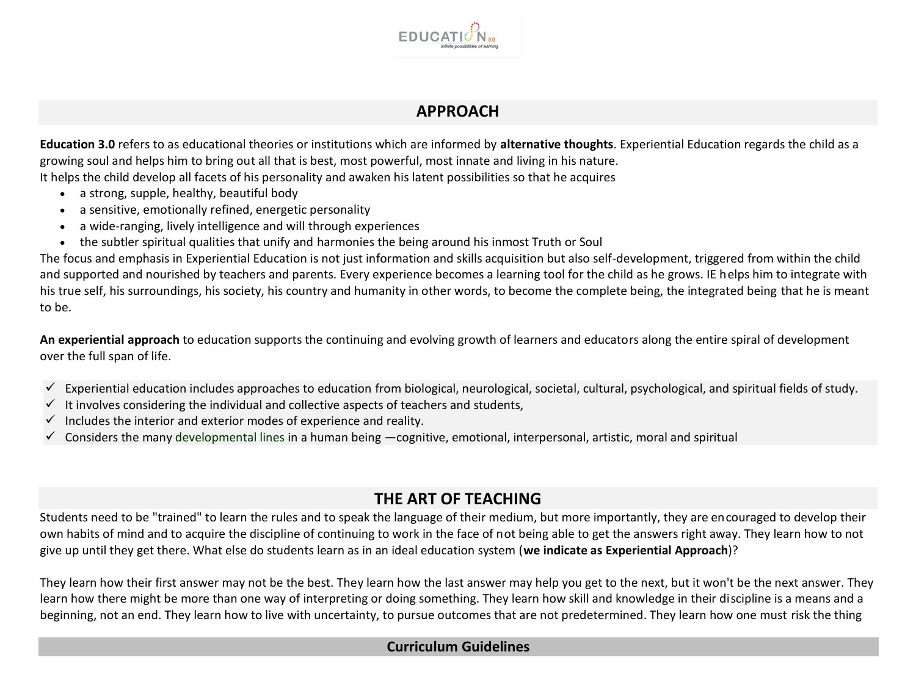

### **APPROACH**

**Education 3.0** refers to as educational theories or institutions which are informed by **alternative thoughts**. Experiential Education regards the child as a growing soul and helps him to bring out all that is best, most powerful, most innate and living in his nature.

It helps the child develop all facets of his personality and awaken his latent possibilities so that he acquires

- a strong, supple, healthy, beautiful body
- a sensitive, emotionally refined, energetic personality
- a wide-ranging, lively intelligence and will through experiences
- the subtler spiritual qualities that unify and harmonies the being around his inmost Truth or Soul

The focus and emphasis in Experiential Education is not just information and skills acquisition but also self-development, triggered from within the child and supported and nourished by teachers and parents. Every experience becomes a learning tool for the child as he grows. IE helps him to integrate with his true self, his surroundings, his society, his country and humanity in other words, to become the complete being, the integrated being that he is meant to be.

**An experiential approach** to education supports the continuing and evolving growth of learners and educators along the entire spiral of development over the full span of life.

- Experiential education includes approaches to education from biological, neurological, societal, cultural, psychological, and spiritual fields of study.
- It involves considering the individual and collective aspects of teachers and students,
- $\checkmark$  Includes the interior and exterior modes of experience and reality.
- $\checkmark$  Considers the many developmental lines in a human being  $-c$ ognitive, emotional, interpersonal, artistic, moral and spiritual

# **THE ART OF TEACHING**

Students need to be "trained" to learn the rules and to speak the language of their medium, but more importantly, they are encouraged to develop their own habits of mind and to acquire the discipline of continuing to work in the face of not being able to get the answers right away. They learn how to not give up until they get there. What else do students learn as in an ideal education system (**we indicate as Experiential Approach**)?

They learn how their first answer may not be the best. They learn how the last answer may help you get to the next, but it won't be the next answer. They learn how there might be more than one way of interpreting or doing something. They learn how skill and knowledge in their discipline is a means and a beginning, not an end. They learn how to live with uncertainty, to pursue outcomes that are not predetermined. They learn how one must risk the thing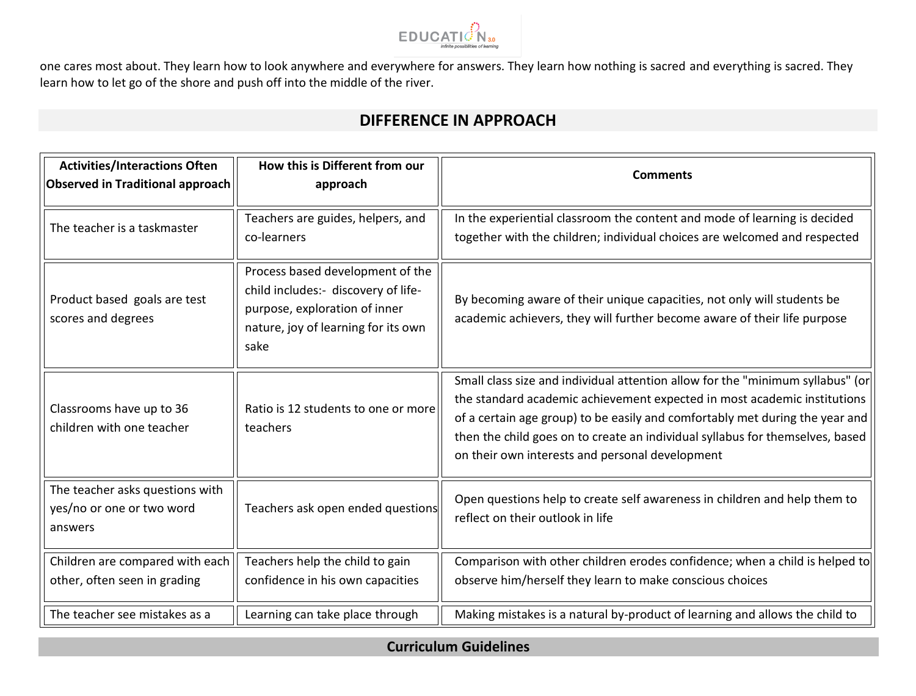

one cares most about. They learn how to look anywhere and everywhere for answers. They learn how nothing is sacred and everything is sacred. They learn how to let go of the shore and push off into the middle of the river.

# **DIFFERENCE IN APPROACH**

| <b>Activities/Interactions Often</b><br>Observed in Traditional approach | How this is Different from our<br>approach                                                                                                              | <b>Comments</b>                                                                                                                                                                                                                                                                                                                                                                |
|--------------------------------------------------------------------------|---------------------------------------------------------------------------------------------------------------------------------------------------------|--------------------------------------------------------------------------------------------------------------------------------------------------------------------------------------------------------------------------------------------------------------------------------------------------------------------------------------------------------------------------------|
| The teacher is a taskmaster                                              | Teachers are guides, helpers, and<br>co-learners                                                                                                        | In the experiential classroom the content and mode of learning is decided<br>together with the children; individual choices are welcomed and respected                                                                                                                                                                                                                         |
| Product based goals are test<br>scores and degrees                       | Process based development of the<br>child includes:- discovery of life-<br>purpose, exploration of inner<br>nature, joy of learning for its own<br>sake | By becoming aware of their unique capacities, not only will students be<br>academic achievers, they will further become aware of their life purpose                                                                                                                                                                                                                            |
| Classrooms have up to 36<br>children with one teacher                    | Ratio is 12 students to one or more<br>teachers                                                                                                         | Small class size and individual attention allow for the "minimum syllabus" (or<br>the standard academic achievement expected in most academic institutions<br>of a certain age group) to be easily and comfortably met during the year and<br>then the child goes on to create an individual syllabus for themselves, based<br>on their own interests and personal development |
| The teacher asks questions with<br>yes/no or one or two word<br>answers  | Teachers ask open ended questions                                                                                                                       | Open questions help to create self awareness in children and help them to<br>reflect on their outlook in life                                                                                                                                                                                                                                                                  |
| Children are compared with each<br>other, often seen in grading          | Teachers help the child to gain<br>confidence in his own capacities                                                                                     | Comparison with other children erodes confidence; when a child is helped to<br>observe him/herself they learn to make conscious choices                                                                                                                                                                                                                                        |
| The teacher see mistakes as a                                            | Learning can take place through                                                                                                                         | Making mistakes is a natural by-product of learning and allows the child to                                                                                                                                                                                                                                                                                                    |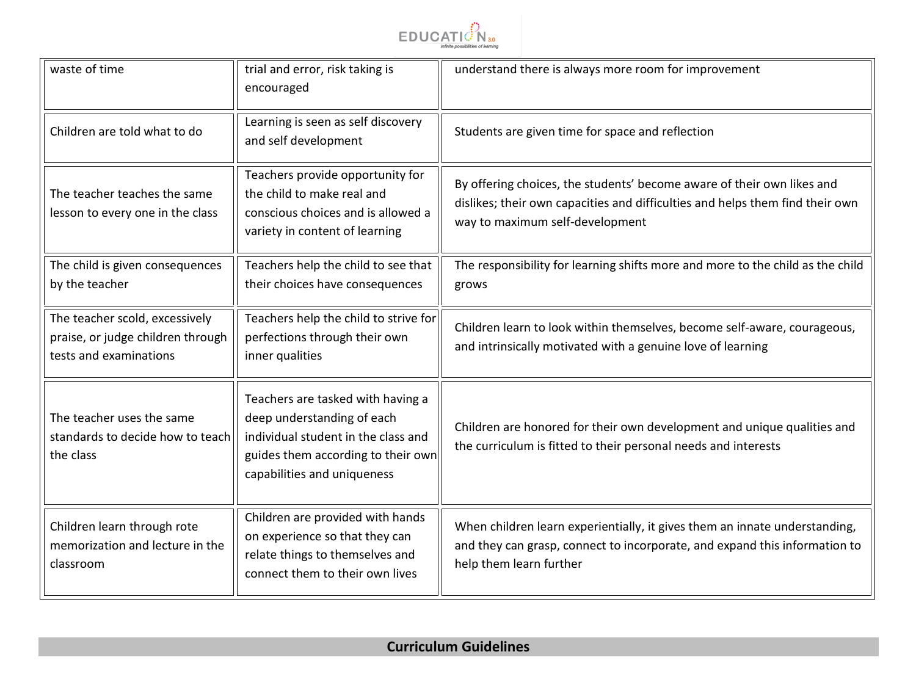

| waste of time                                                                                 | trial and error, risk taking is<br>encouraged                                                                                                                               | understand there is always more room for improvement                                                                                                                                       |
|-----------------------------------------------------------------------------------------------|-----------------------------------------------------------------------------------------------------------------------------------------------------------------------------|--------------------------------------------------------------------------------------------------------------------------------------------------------------------------------------------|
| Children are told what to do                                                                  | Learning is seen as self discovery<br>and self development                                                                                                                  | Students are given time for space and reflection                                                                                                                                           |
| The teacher teaches the same<br>lesson to every one in the class                              | Teachers provide opportunity for<br>the child to make real and<br>conscious choices and is allowed a<br>variety in content of learning                                      | By offering choices, the students' become aware of their own likes and<br>dislikes; their own capacities and difficulties and helps them find their own<br>way to maximum self-development |
| The child is given consequences<br>by the teacher                                             | Teachers help the child to see that<br>their choices have consequences                                                                                                      | The responsibility for learning shifts more and more to the child as the child<br>grows                                                                                                    |
| The teacher scold, excessively<br>praise, or judge children through<br>tests and examinations | Teachers help the child to strive for<br>perfections through their own<br>inner qualities                                                                                   | Children learn to look within themselves, become self-aware, courageous,<br>and intrinsically motivated with a genuine love of learning                                                    |
| The teacher uses the same<br>standards to decide how to teach<br>the class                    | Teachers are tasked with having a<br>deep understanding of each<br>individual student in the class and<br>guides them according to their own<br>capabilities and uniqueness | Children are honored for their own development and unique qualities and<br>the curriculum is fitted to their personal needs and interests                                                  |
| Children learn through rote<br>memorization and lecture in the<br>classroom                   | Children are provided with hands<br>on experience so that they can<br>relate things to themselves and<br>connect them to their own lives                                    | When children learn experientially, it gives them an innate understanding,<br>and they can grasp, connect to incorporate, and expand this information to<br>help them learn further        |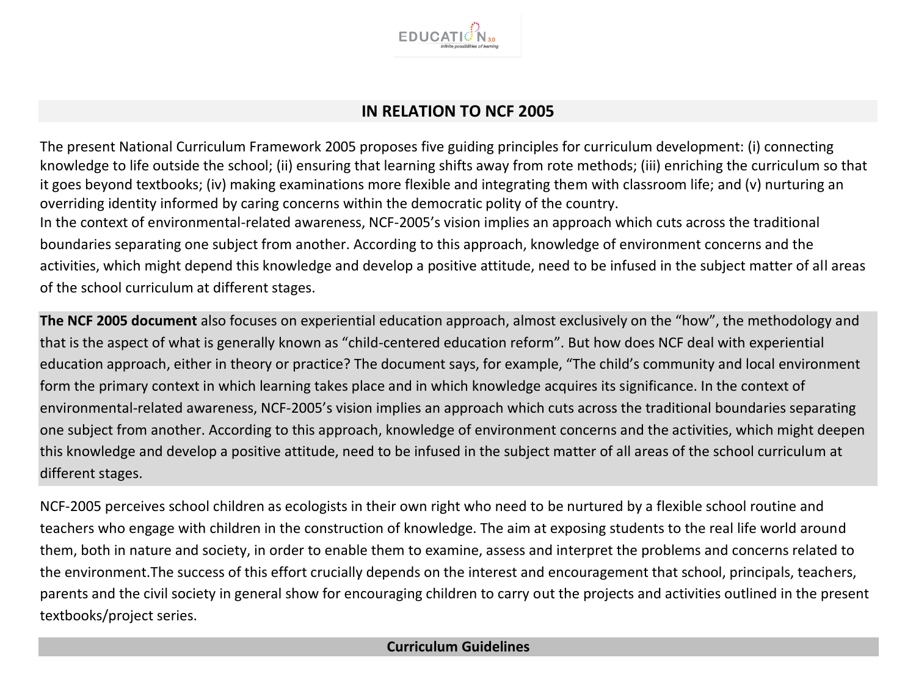

### **IN RELATION TO NCF 2005**

The present National Curriculum Framework 2005 proposes five guiding principles for curriculum development: (i) connecting knowledge to life outside the school; (ii) ensuring that learning shifts away from rote methods; (iii) enriching the curriculum so that it goes beyond textbooks; (iv) making examinations more flexible and integrating them with classroom life; and (v) nurturing an overriding identity informed by caring concerns within the democratic polity of the country. In the context of environmental-related awareness, NCF-2005's vision implies an approach which cuts across the traditional boundaries separating one subject from another. According to this approach, knowledge of environment concerns and the

activities, which might depend this knowledge and develop a positive attitude, need to be infused in the subject matter of all areas of the school curriculum at different stages.

**The NCF 2005 document** also focuses on experiential education approach, almost exclusively on the "how", the methodology and that is the aspect of what is generally known as "child-centered education reform". But how does NCF deal with experiential education approach, either in theory or practice? The document says, for example, "The child's community and local environment form the primary context in which learning takes place and in which knowledge acquires its significance. In the context of environmental-related awareness, NCF-2005's vision implies an approach which cuts across the traditional boundaries separating one subject from another. According to this approach, knowledge of environment concerns and the activities, which might deepen this knowledge and develop a positive attitude, need to be infused in the subject matter of all areas of the school curriculum at different stages.

NCF-2005 perceives school children as ecologists in their own right who need to be nurtured by a flexible school routine and teachers who engage with children in the construction of knowledge. The aim at exposing students to the real life world around them, both in nature and society, in order to enable them to examine, assess and interpret the problems and concerns related to the environment.The success of this effort crucially depends on the interest and encouragement that school, principals, teachers, parents and the civil society in general show for encouraging children to carry out the projects and activities outlined in the present textbooks/project series.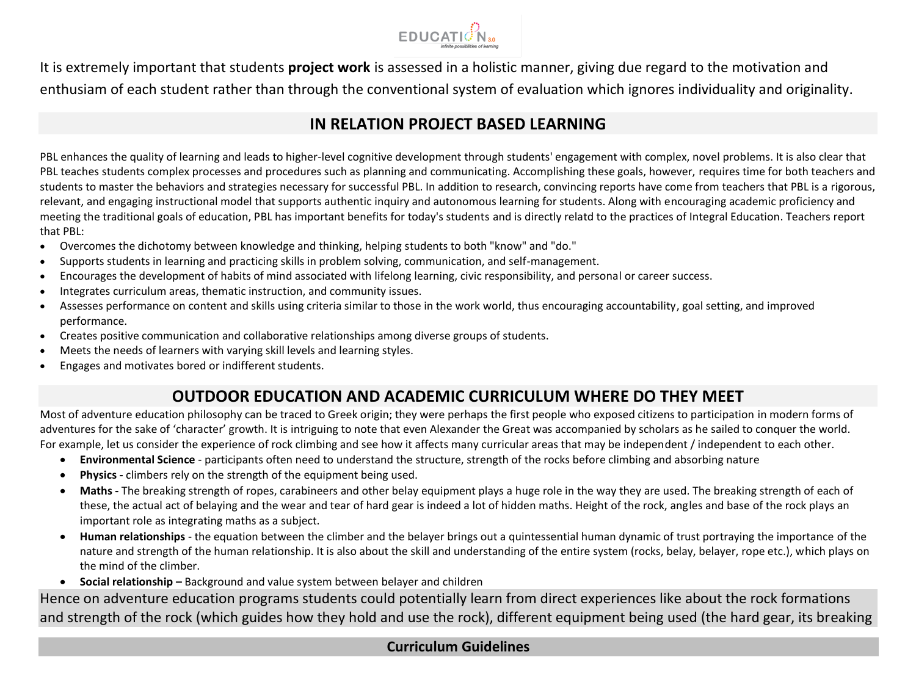

It is extremely important that students **project work** is assessed in a holistic manner, giving due regard to the motivation and enthusiam of each student rather than through the conventional system of evaluation which ignores individuality and originality.

## **IN RELATION PROJECT BASED LEARNING**

PBL enhances the quality of learning and leads to higher-level cognitive development through students' engagement with complex, novel problems. It is also clear that PBL teaches students complex processes and procedures such as planning and communicating. Accomplishing these goals, however, requires time for both teachers and students to master the behaviors and strategies necessary for successful PBL. In addition to research, convincing reports have come from teachers that PBL is a rigorous, relevant, and engaging instructional model that supports authentic inquiry and autonomous learning for students. Along with encouraging academic proficiency and meeting the traditional goals of education, PBL has important benefits for today's students and is directly relatd to the practices of Integral Education. Teachers report that PBL:

- Overcomes the dichotomy between knowledge and thinking, helping students to both "know" and "do."
- Supports students in learning and practicing skills in problem solving, communication, and self-management.
- Encourages the development of habits of mind associated with lifelong learning, civic responsibility, and personal or career success.
- Integrates curriculum areas, thematic instruction, and community issues.
- Assesses performance on content and skills using criteria similar to those in the work world, thus encouraging accountability, goal setting, and improved performance.
- Creates positive communication and collaborative relationships among diverse groups of students.
- Meets the needs of learners with varying skill levels and learning styles.
- Engages and motivates bored or indifferent students.

# **OUTDOOR EDUCATION AND ACADEMIC CURRICULUM WHERE DO THEY MEET**

Most of adventure education philosophy can be traced to Greek origin; they were perhaps the first people who exposed citizens to participation in modern forms of adventures for the sake of 'character' growth. It is intriguing to note that even Alexander the Great was accompanied by scholars as he sailed to conquer the world. For example, let us consider the experience of rock climbing and see how it affects many curricular areas that may be independent / independent to each other.

- **Environmental Science** participants often need to understand the structure, strength of the rocks before climbing and absorbing nature
- **Physics -** climbers rely on the strength of the equipment being used.
- **Maths -** The breaking strength of ropes, carabineers and other belay equipment plays a huge role in the way they are used. The breaking strength of each of these, the actual act of belaying and the wear and tear of hard gear is indeed a lot of hidden maths. Height of the rock, angles and base of the rock plays an important role as integrating maths as a subject.
- **Human relationships** the equation between the climber and the belayer brings out a quintessential human dynamic of trust portraying the importance of the nature and strength of the human relationship. It is also about the skill and understanding of the entire system (rocks, belay, belayer, rope etc.), which plays on the mind of the climber.
- **Social relationship** Background and value system between belayer and children

Hence on adventure education programs students could potentially learn from direct experiences like about the rock formations and strength of the rock (which guides how they hold and use the rock), different equipment being used (the hard gear, its breaking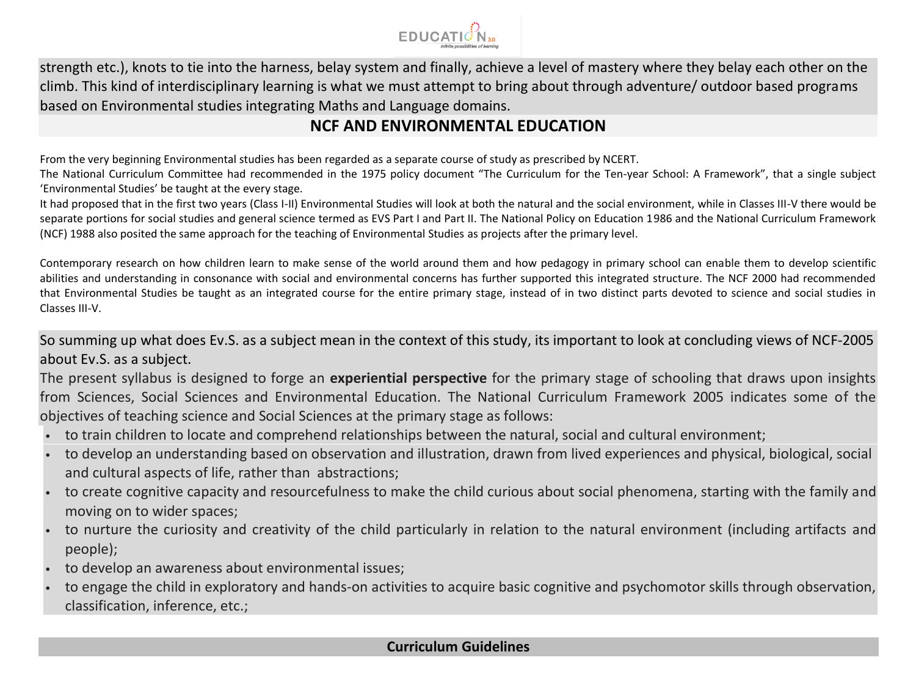

strength etc.), knots to tie into the harness, belay system and finally, achieve a level of mastery where they belay each other on the climb. This kind of interdisciplinary learning is what we must attempt to bring about through adventure/ outdoor based programs based on Environmental studies integrating Maths and Language domains.

# **NCF AND ENVIRONMENTAL EDUCATION**

From the very beginning Environmental studies has been regarded as a separate course of study as prescribed by NCERT.

The National Curriculum Committee had recommended in the 1975 policy document "The Curriculum for the Ten-year School: A Framework", that a single subject 'Environmental Studies' be taught at the every stage.

It had proposed that in the first two years (Class I-II) Environmental Studies will look at both the natural and the social environment, while in Classes III-V there would be separate portions for social studies and general science termed as EVS Part I and Part II. The National Policy on Education 1986 and the National Curriculum Framework (NCF) 1988 also posited the same approach for the teaching of Environmental Studies as projects after the primary level.

Contemporary research on how children learn to make sense of the world around them and how pedagogy in primary school can enable them to develop scientific abilities and understanding in consonance with social and environmental concerns has further supported this integrated structure. The NCF 2000 had recommended that Environmental Studies be taught as an integrated course for the entire primary stage, instead of in two distinct parts devoted to science and social studies in Classes III-V.

So summing up what does Ev.S. as a subject mean in the context of this study, its important to look at concluding views of NCF-2005 about Ev.S. as a subject.

The present syllabus is designed to forge an **experiential perspective** for the primary stage of schooling that draws upon insights from Sciences, Social Sciences and Environmental Education. The National Curriculum Framework 2005 indicates some of the objectives of teaching science and Social Sciences at the primary stage as follows:

- to train children to locate and comprehend relationships between the natural, social and cultural environment;
- to develop an understanding based on observation and illustration, drawn from lived experiences and physical, biological, social and cultural aspects of life, rather than abstractions;
- to create cognitive capacity and resourcefulness to make the child curious about social phenomena, starting with the family and moving on to wider spaces;
- to nurture the curiosity and creativity of the child particularly in relation to the natural environment (including artifacts and people);
- to develop an awareness about environmental issues;
- to engage the child in exploratory and hands-on activities to acquire basic cognitive and psychomotor skills through observation, classification, inference, etc.;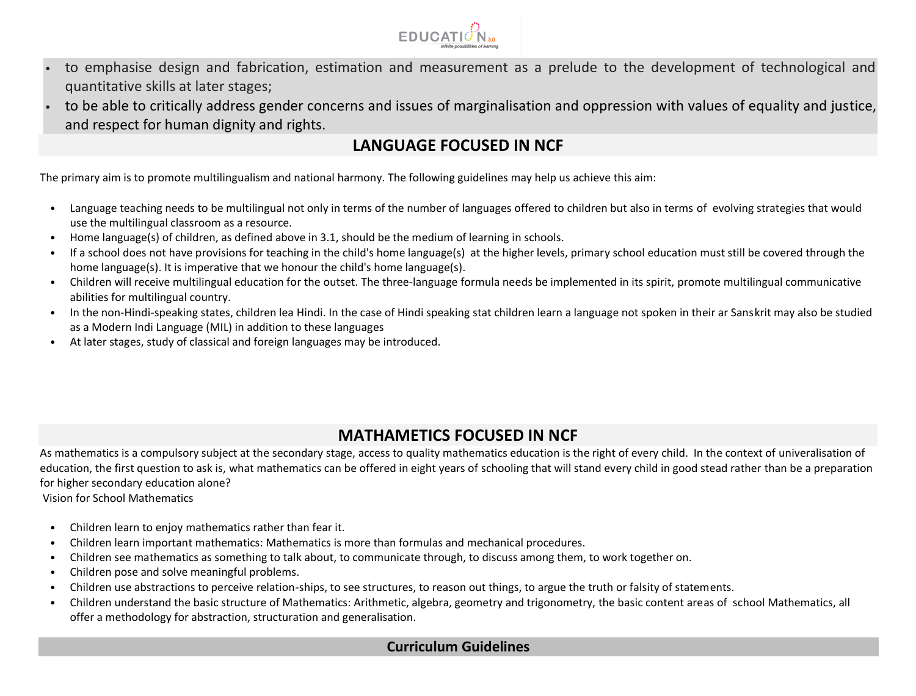

- to emphasise design and fabrication, estimation and measurement as a prelude to the development of technological and quantitative skills at later stages;
- to be able to critically address gender concerns and issues of marginalisation and oppression with values of equality and justice, and respect for human dignity and rights.

# **LANGUAGE FOCUSED IN NCF**

The primary aim is to promote multilingualism and national harmony. The following guidelines may help us achieve this aim:

- Language teaching needs to be multilingual not only in terms of the number of languages offered to children but also in terms of evolving strategies that would use the multilingual classroom as a resource.
- Home language(s) of children, as defined above in 3.1, should be the medium of learning in schools.
- If a school does not have provisions for teaching in the child's home language(s) at the higher levels, primary school education must still be covered through the home language(s). It is imperative that we honour the child's home language(s).
- Children will receive multilingual education for the outset. The three-language formula needs be implemented in its spirit, promote multilingual communicative abilities for multilingual country.
- In the non-Hindi-speaking states, children lea Hindi. In the case of Hindi speaking stat children learn a language not spoken in their ar Sanskrit may also be studied as a Modern Indi Language (MIL) in addition to these languages
- At later stages, study of classical and foreign languages may be introduced.

# **MATHAMETICS FOCUSED IN NCF**

As mathematics is a compulsory subject at the secondary stage, access to quality mathematics education is the right of every child. In the context of univeralisation of education, the first question to ask is, what mathematics can be offered in eight years of schooling that will stand every child in good stead rather than be a preparation for higher secondary education alone?

Vision for School Mathematics

- Children learn to enjoy mathematics rather than fear it.
- Children learn important mathematics: Mathematics is more than formulas and mechanical procedures.
- Children see mathematics as something to talk about, to communicate through, to discuss among them, to work together on.
- Children pose and solve meaningful problems.
- Children use abstractions to perceive relation-ships, to see structures, to reason out things, to argue the truth or falsity of statements.
- Children understand the basic structure of Mathematics: Arithmetic, algebra, geometry and trigonometry, the basic content areas of school Mathematics, all offer a methodology for abstraction, structuration and generalisation.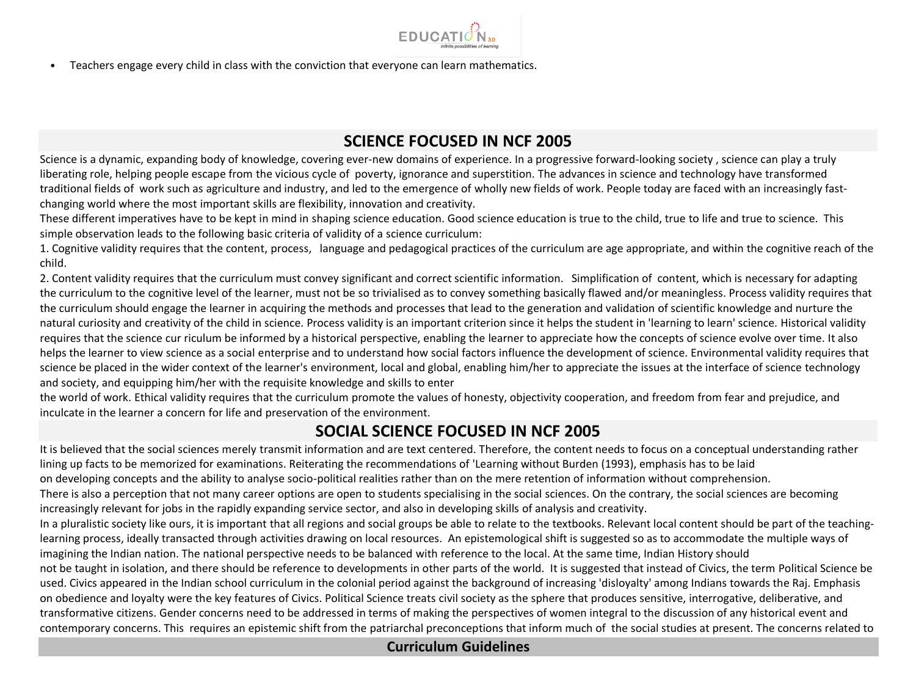

• Teachers engage every child in class with the conviction that everyone can learn mathematics.

# **SCIENCE FOCUSED IN NCF 2005**

Science is a dynamic, expanding body of knowledge, covering ever-new domains of experience. In a progressive forward-looking society , science can play a truly liberating role, helping people escape from the vicious cycle of poverty, ignorance and superstition. The advances in science and technology have transformed traditional fields of work such as agriculture and industry, and led to the emergence of wholly new fields of work. People today are faced with an increasingly fastchanging world where the most important skills are flexibility, innovation and creativity.

These different imperatives have to be kept in mind in shaping science education. Good science education is true to the child, true to life and true to science. This simple observation leads to the following basic criteria of validity of a science curriculum:

1. Cognitive validity requires that the content, process, language and pedagogical practices of the curriculum are age appropriate, and within the cognitive reach of the child.

2. Content validity requires that the curriculum must convey significant and correct scientific information. Simplification of content, which is necessary for adapting the curriculum to the cognitive level of the learner, must not be so trivialised as to convey something basically flawed and/or meaningless. Process validity requires that the curriculum should engage the learner in acquiring the methods and processes that lead to the generation and validation of scientific knowledge and nurture the natural curiosity and creativity of the child in science. Process validity is an important criterion since it helps the student in 'learning to learn' science. Historical validity requires that the science cur riculum be informed by a historical perspective, enabling the learner to appreciate how the concepts of science evolve over time. It also helps the learner to view science as a social enterprise and to understand how social factors influence the development of science. Environmental validity requires that science be placed in the wider context of the learner's environment, local and global, enabling him/her to appreciate the issues at the interface of science technology and society, and equipping him/her with the requisite knowledge and skills to enter

the world of work. Ethical validity requires that the curriculum promote the values of honesty, objectivity cooperation, and freedom from fear and prejudice, and inculcate in the learner a concern for life and preservation of the environment.

## **SOCIAL SCIENCE FOCUSED IN NCF 2005**

It is believed that the social sciences merely transmit information and are text centered. Therefore, the content needs to focus on a conceptual understanding rather lining up facts to be memorized for examinations. Reiterating the recommendations of 'Learning without Burden (1993), emphasis has to be laid on developing concepts and the ability to analyse socio-political realities rather than on the mere retention of information without comprehension. There is also a perception that not many career options are open to students specialising in the social sciences. On the contrary, the social sciences are becoming increasingly relevant for jobs in the rapidly expanding service sector, and also in developing skills of analysis and creativity. In a pluralistic society like ours, it is important that all regions and social groups be able to relate to the textbooks. Relevant local content should be part of the teachinglearning process, ideally transacted through activities drawing on local resources. An epistemological shift is suggested so as to accommodate the multiple ways of imagining the Indian nation. The national perspective needs to be balanced with reference to the local. At the same time, Indian History should not be taught in isolation, and there should be reference to developments in other parts of the world. It is suggested that instead of Civics, the term Political Science be used. Civics appeared in the Indian school curriculum in the colonial period against the background of increasing 'disloyalty' among Indians towards the Raj. Emphasis on obedience and loyalty were the key features of Civics. Political Science treats civil society as the sphere that produces sensitive, interrogative, deliberative, and transformative citizens. Gender concerns need to be addressed in terms of making the perspectives of women integral to the discussion of any historical event and

#### contemporary concerns. This requires an epistemic shift from the patriarchal preconceptions that inform much of the social studies at present. The concerns related to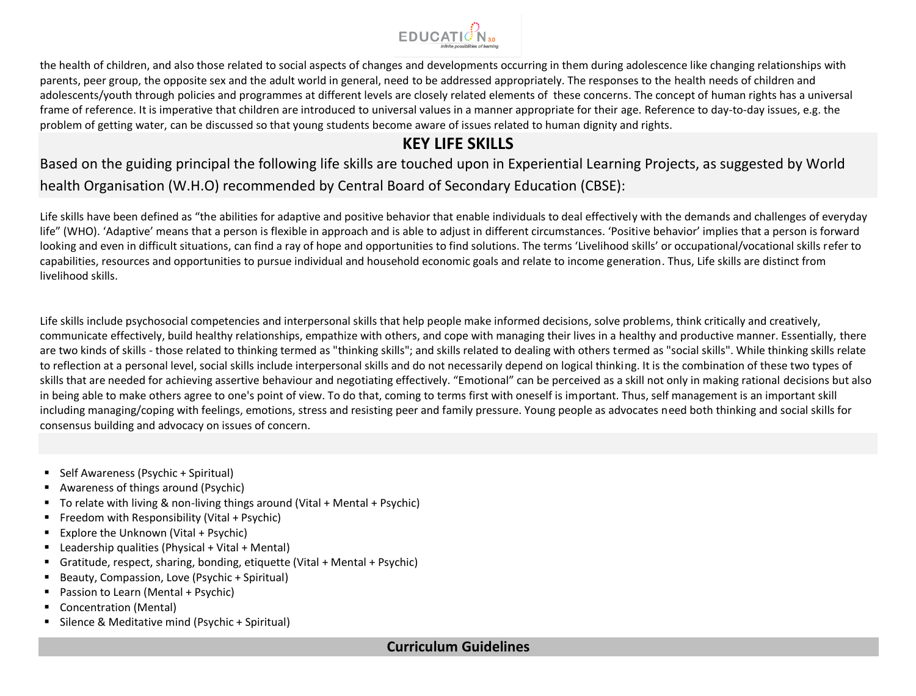

the health of children, and also those related to social aspects of changes and developments occurring in them during adolescence like changing relationships with parents, peer group, the opposite sex and the adult world in general, need to be addressed appropriately. The responses to the health needs of children and adolescents/youth through policies and programmes at different levels are closely related elements of these concerns. The concept of human rights has a universal frame of reference. It is imperative that children are introduced to universal values in a manner appropriate for their age. Reference to day-to-day issues, e.g. the problem of getting water, can be discussed so that young students become aware of issues related to human dignity and rights.

### **KEY LIFE SKILLS**

Based on the guiding principal the following life skills are touched upon in Experiential Learning Projects, as suggested by World health Organisation (W.H.O) recommended by Central Board of Secondary Education (CBSE):

Life skills have been defined as "the abilities for adaptive and positive behavior that enable individuals to deal effectively with the demands and challenges of everyday life" (WHO). 'Adaptive' means that a person is flexible in approach and is able to adjust in different circumstances. 'Positive behavior' implies that a person is forward looking and even in difficult situations, can find a ray of hope and opportunities to find solutions. The terms 'Livelihood skills' or occupational/vocational skills refer to capabilities, resources and opportunities to pursue individual and household economic goals and relate to income generation. Thus, Life skills are distinct from livelihood skills.

Life skills include psychosocial competencies and interpersonal skills that help people make informed decisions, solve problems, think critically and creatively, communicate effectively, build healthy relationships, empathize with others, and cope with managing their lives in a healthy and productive manner. Essentially, there are two kinds of skills - those related to thinking termed as "thinking skills"; and skills related to dealing with others termed as "social skills". While thinking skills relate to reflection at a personal level, social skills include interpersonal skills and do not necessarily depend on logical thinking. It is the combination of these two types of skills that are needed for achieving assertive behaviour and negotiating effectively. "Emotional" can be perceived as a skill not only in making rational decisions but also in being able to make others agree to one's point of view. To do that, coming to terms first with oneself is important. Thus, self management is an important skill including managing/coping with feelings, emotions, stress and resisting peer and family pressure. Young people as advocates need both thinking and social skills for consensus building and advocacy on issues of concern.

- Self Awareness (Psychic + Spiritual)
- Awareness of things around (Psychic)
- To relate with living & non-living things around (Vital + Mental + Psychic)
- Freedom with Responsibility (Vital + Psychic)
- **Explore the Unknown (Vital + Psychic)**
- Leadership qualities (Physical + Vital + Mental)
- Gratitude, respect, sharing, bonding, etiquette (Vital + Mental + Psychic)
- Beauty, Compassion, Love (Psychic + Spiritual)
- Passion to Learn (Mental + Psychic)
- Concentration (Mental)
- Silence & Meditative mind (Psychic + Spiritual)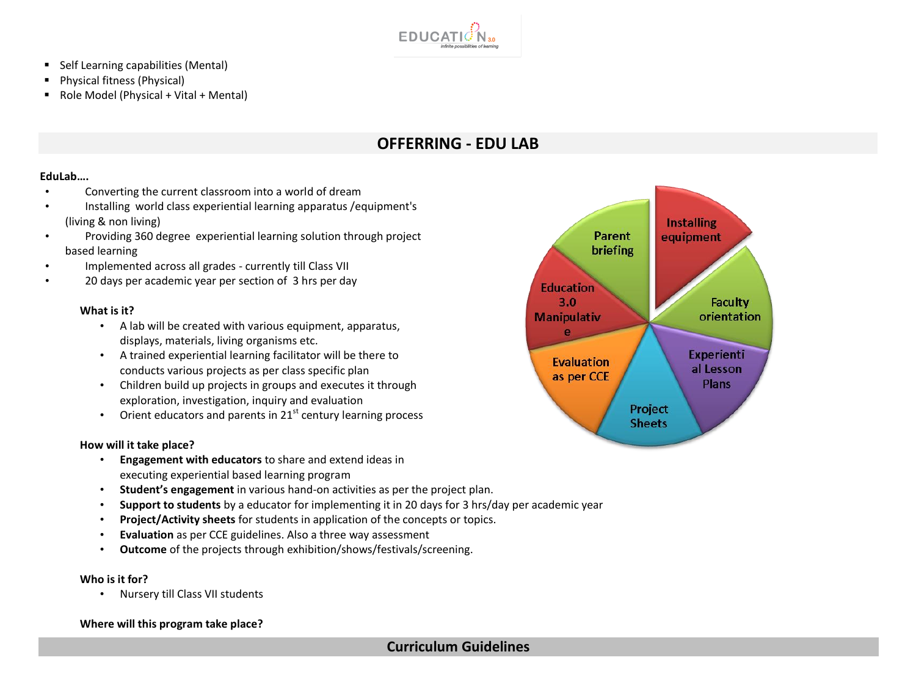

- Self Learning capabilities (Mental)
- **Physical fitness (Physical)**
- Role Model (Physical + Vital + Mental)

# **OFFERRING - EDU LAB**

#### **EduLab….**

- Converting the current classroom into a world of dream
- Installing world class experiential learning apparatus /equipment's (living & non living)
- Providing 360 degree experiential learning solution through project based learning
- Implemented across all grades currently till Class VII
- 20 days per academic year per section of 3 hrs per day

#### **What is it?**

- A lab will be created with various equipment, apparatus, displays, materials, living organisms etc.
- A trained experiential learning facilitator will be there to conducts various projects as per class specific plan
- Children build up projects in groups and executes it through exploration, investigation, inquiry and evaluation
- Orient educators and parents in  $21<sup>st</sup>$  century learning process

#### **How will it take place?**

- **Engagement with educators** to share and extend ideas in executing experiential based learning program
- **Student's engagement** in various hand-on activities as per the project plan.
- **Support to students** by a educator for implementing it in 20 days for 3 hrs/day per academic year
- **Project/Activity sheets** for students in application of the concepts or topics.
- **Evaluation** as per CCE guidelines. Also a three way assessment
- **Outcome** of the projects through exhibition/shows/festivals/screening.

#### **Who is it for?**

• Nursery till Class VII students

#### **Where will this program take place?**

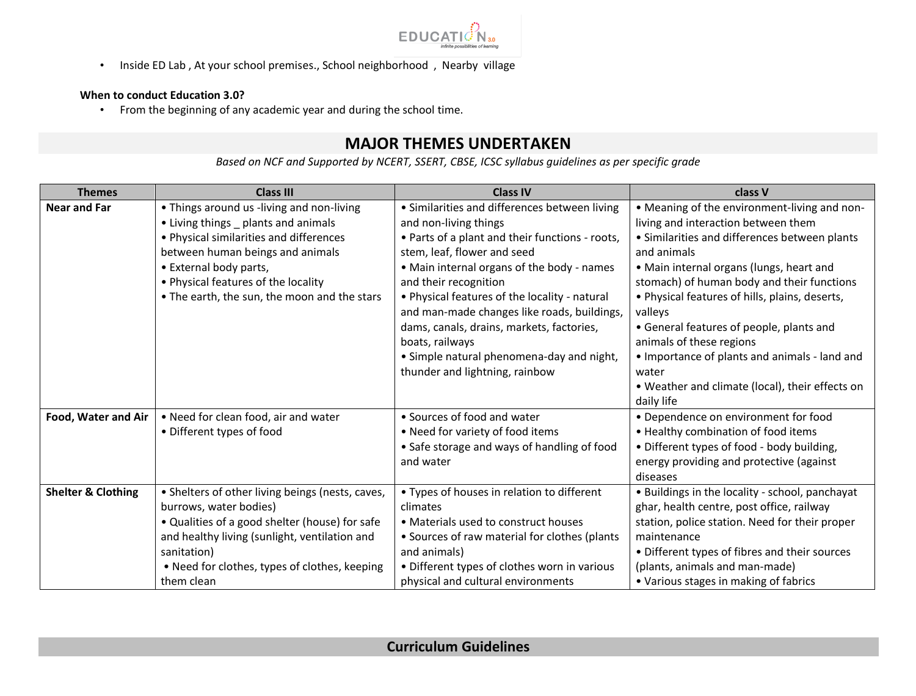

• Inside ED Lab , At your school premises., School neighborhood , Nearby village

#### **When to conduct Education 3.0?**

• From the beginning of any academic year and during the school time.

# **MAJOR THEMES UNDERTAKEN**

*Based on NCF and Supported by NCERT, SSERT, CBSE, ICSC syllabus guidelines as per specific grade* 

| <b>Themes</b>                 | <b>Class III</b>                                                                                                                                                                                                                                            | <b>Class IV</b>                                                                                                                                                                                                                                       | class V                                                                                                                                                                                                                                                                                   |
|-------------------------------|-------------------------------------------------------------------------------------------------------------------------------------------------------------------------------------------------------------------------------------------------------------|-------------------------------------------------------------------------------------------------------------------------------------------------------------------------------------------------------------------------------------------------------|-------------------------------------------------------------------------------------------------------------------------------------------------------------------------------------------------------------------------------------------------------------------------------------------|
| <b>Near and Far</b>           | • Things around us -living and non-living<br>• Living things _ plants and animals<br>• Physical similarities and differences<br>between human beings and animals<br>• External body parts,<br>• Physical features of the locality                           | • Similarities and differences between living<br>and non-living things<br>• Parts of a plant and their functions - roots,<br>stem, leaf, flower and seed<br>• Main internal organs of the body - names<br>and their recognition                       | • Meaning of the environment-living and non-<br>living and interaction between them<br>• Similarities and differences between plants<br>and animals<br>• Main internal organs (lungs, heart and<br>stomach) of human body and their functions                                             |
|                               | • The earth, the sun, the moon and the stars                                                                                                                                                                                                                | . Physical features of the locality - natural<br>and man-made changes like roads, buildings,<br>dams, canals, drains, markets, factories,<br>boats, railways<br>• Simple natural phenomena-day and night,<br>thunder and lightning, rainbow           | • Physical features of hills, plains, deserts,<br>valleys<br>• General features of people, plants and<br>animals of these regions<br>• Importance of plants and animals - land and<br>water<br>• Weather and climate (local), their effects on<br>daily life                              |
| Food, Water and Air           | • Need for clean food, air and water<br>• Different types of food                                                                                                                                                                                           | • Sources of food and water<br>• Need for variety of food items<br>• Safe storage and ways of handling of food<br>and water                                                                                                                           | • Dependence on environment for food<br>• Healthy combination of food items<br>· Different types of food - body building,<br>energy providing and protective (against<br>diseases                                                                                                         |
| <b>Shelter &amp; Clothing</b> | • Shelters of other living beings (nests, caves,<br>burrows, water bodies)<br>• Qualities of a good shelter (house) for safe<br>and healthy living (sunlight, ventilation and<br>sanitation)<br>• Need for clothes, types of clothes, keeping<br>them clean | • Types of houses in relation to different<br>climates<br>• Materials used to construct houses<br>• Sources of raw material for clothes (plants<br>and animals)<br>• Different types of clothes worn in various<br>physical and cultural environments | • Buildings in the locality - school, panchayat<br>ghar, health centre, post office, railway<br>station, police station. Need for their proper<br>maintenance<br>• Different types of fibres and their sources<br>(plants, animals and man-made)<br>• Various stages in making of fabrics |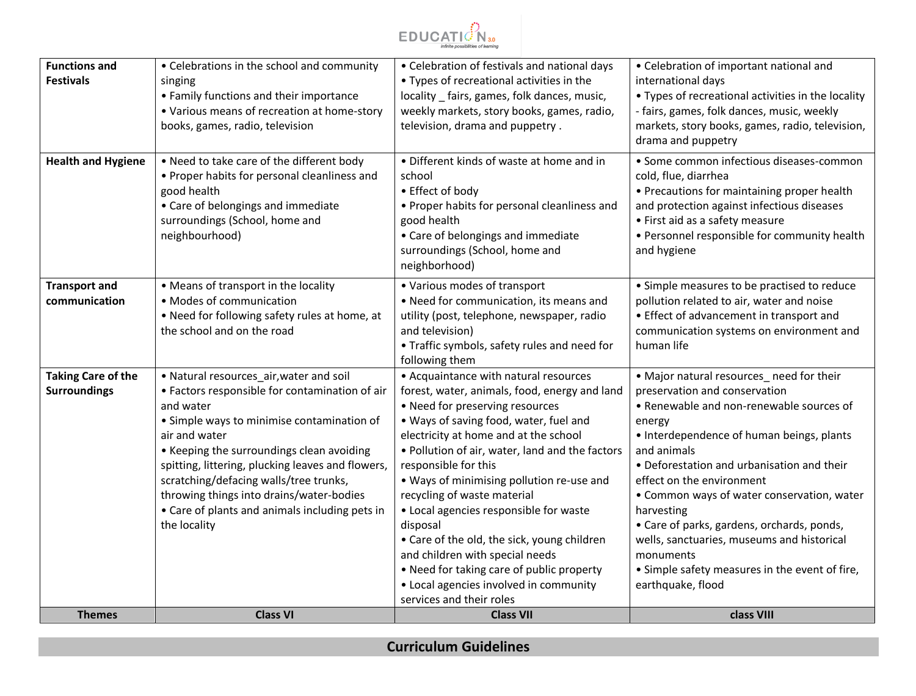

|                           |                                                                                                |                                                                                           | class VIII                                                                                       |
|---------------------------|------------------------------------------------------------------------------------------------|-------------------------------------------------------------------------------------------|--------------------------------------------------------------------------------------------------|
|                           |                                                                                                | • Local agencies involved in community<br>services and their roles                        | earthquake, flood                                                                                |
|                           |                                                                                                | and children with special needs<br>• Need for taking care of public property              | monuments<br>• Simple safety measures in the event of fire,                                      |
|                           |                                                                                                | • Care of the old, the sick, young children                                               | wells, sanctuaries, museums and historical                                                       |
|                           | the locality                                                                                   | disposal                                                                                  | • Care of parks, gardens, orchards, ponds,                                                       |
|                           | • Care of plants and animals including pets in                                                 | · Local agencies responsible for waste                                                    | harvesting                                                                                       |
|                           | throwing things into drains/water-bodies                                                       | recycling of waste material                                                               | • Common ways of water conservation, water                                                       |
|                           | scratching/defacing walls/tree trunks,                                                         | . Ways of minimising pollution re-use and                                                 | effect on the environment                                                                        |
|                           | • Keeping the surroundings clean avoiding<br>spitting, littering, plucking leaves and flowers, | . Pollution of air, water, land and the factors<br>responsible for this                   | and animals<br>• Deforestation and urbanisation and their                                        |
|                           | air and water                                                                                  | electricity at home and at the school                                                     | • Interdependence of human beings, plants                                                        |
|                           | • Simple ways to minimise contamination of                                                     | . Ways of saving food, water, fuel and                                                    | energy                                                                                           |
|                           | and water                                                                                      | • Need for preserving resources                                                           | • Renewable and non-renewable sources of                                                         |
| <b>Surroundings</b>       | • Factors responsible for contamination of air                                                 | forest, water, animals, food, energy and land                                             | preservation and conservation                                                                    |
| <b>Taking Care of the</b> | • Natural resources_air, water and soil                                                        | • Acquaintance with natural resources                                                     | • Major natural resources_ need for their                                                        |
|                           |                                                                                                | • Traffic symbols, safety rules and need for<br>following them                            | human life                                                                                       |
|                           | the school and on the road                                                                     | and television)                                                                           | communication systems on environment and                                                         |
|                           | . Need for following safety rules at home, at                                                  | utility (post, telephone, newspaper, radio                                                | • Effect of advancement in transport and                                                         |
| communication             | • Modes of communication                                                                       | . Need for communication, its means and                                                   | pollution related to air, water and noise                                                        |
| <b>Transport and</b>      | • Means of transport in the locality                                                           | • Various modes of transport                                                              | • Simple measures to be practised to reduce                                                      |
|                           |                                                                                                | neighborhood)                                                                             |                                                                                                  |
|                           |                                                                                                | surroundings (School, home and                                                            | and hygiene                                                                                      |
|                           | surroundings (School, home and<br>neighbourhood)                                               | good health<br>• Care of belongings and immediate                                         | • First aid as a safety measure<br>• Personnel responsible for community health                  |
|                           | • Care of belongings and immediate                                                             | • Proper habits for personal cleanliness and                                              | and protection against infectious diseases                                                       |
|                           | good health                                                                                    | • Effect of body                                                                          | • Precautions for maintaining proper health                                                      |
|                           | • Proper habits for personal cleanliness and                                                   | school                                                                                    | cold, flue, diarrhea                                                                             |
| <b>Health and Hygiene</b> | . Need to take care of the different body                                                      | • Different kinds of waste at home and in                                                 | • Some common infectious diseases-common                                                         |
|                           |                                                                                                |                                                                                           | drama and puppetry                                                                               |
|                           | books, games, radio, television                                                                | television, drama and puppetry.                                                           | markets, story books, games, radio, television,                                                  |
|                           | • Family functions and their importance<br>• Various means of recreation at home-story         | weekly markets, story books, games, radio,                                                | • Types of recreational activities in the locality<br>- fairs, games, folk dances, music, weekly |
| <b>Festivals</b>          | singing                                                                                        | • Types of recreational activities in the<br>locality _ fairs, games, folk dances, music, | international days                                                                               |
|                           |                                                                                                |                                                                                           |                                                                                                  |
| <b>Functions and</b>      | • Celebrations in the school and community                                                     | • Celebration of festivals and national days                                              | • Celebration of important national and                                                          |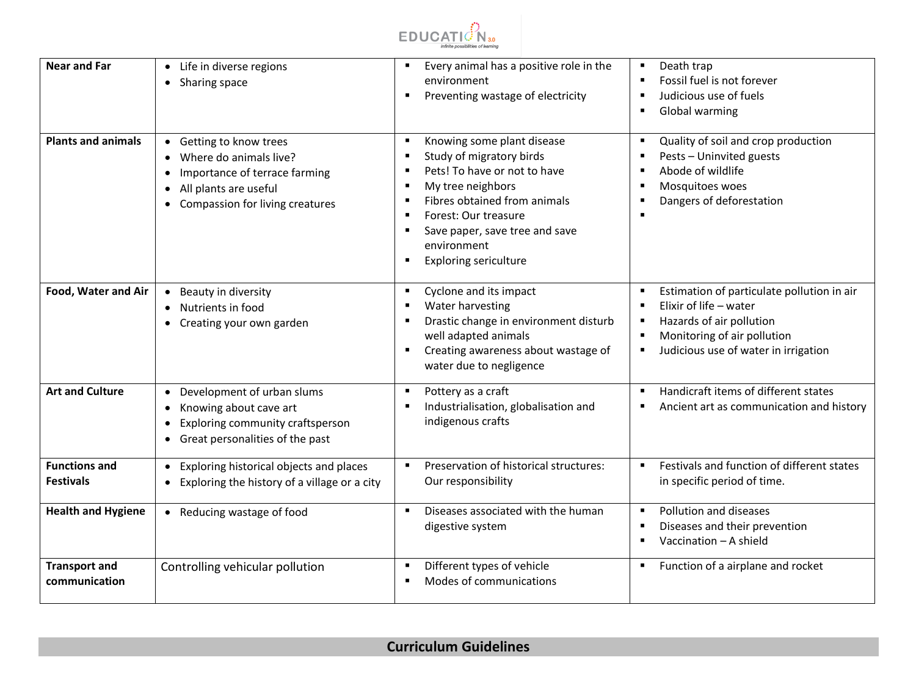

| <b>Near and Far</b>                      | • Life in diverse regions<br>Sharing space                                                                                                                                      | Every animal has a positive role in the<br>environment<br>Preventing wastage of electricity<br>$\blacksquare$                                                                                                                                                          | Death trap<br>Fossil fuel is not forever<br>Judicious use of fuels<br>Global warming                                                                                         |
|------------------------------------------|---------------------------------------------------------------------------------------------------------------------------------------------------------------------------------|------------------------------------------------------------------------------------------------------------------------------------------------------------------------------------------------------------------------------------------------------------------------|------------------------------------------------------------------------------------------------------------------------------------------------------------------------------|
| <b>Plants and animals</b>                | • Getting to know trees<br>Where do animals live?<br>Importance of terrace farming<br>$\bullet$<br>All plants are useful<br>$\bullet$<br><b>Compassion for living creatures</b> | Knowing some plant disease<br>Study of migratory birds<br>Pets! To have or not to have<br>My tree neighbors<br>Fibres obtained from animals<br>Forest: Our treasure<br>Save paper, save tree and save<br>environment<br><b>Exploring sericulture</b><br>$\blacksquare$ | Quality of soil and crop production<br>$\blacksquare$<br>Pests - Uninvited guests<br>Abode of wildlife<br>Mosquitoes woes<br>Dangers of deforestation<br>$\blacksquare$      |
| Food, Water and Air                      | Beauty in diversity<br>$\bullet$<br>Nutrients in food<br>Creating your own garden<br>$\bullet$                                                                                  | Cyclone and its impact<br>Water harvesting<br>Drastic change in environment disturb<br>well adapted animals<br>Creating awareness about wastage of<br>water due to negligence                                                                                          | Estimation of particulate pollution in air<br>٠<br>Elixir of life - water<br>Hazards of air pollution<br>Monitoring of air pollution<br>Judicious use of water in irrigation |
| <b>Art and Culture</b>                   | Development of urban slums<br>$\bullet$<br>Knowing about cave art<br>$\bullet$<br>Exploring community craftsperson<br>$\bullet$<br>Great personalities of the past              | Pottery as a craft<br>Industrialisation, globalisation and<br>indigenous crafts                                                                                                                                                                                        | Handicraft items of different states<br>$\blacksquare$<br>Ancient art as communication and history                                                                           |
| <b>Functions and</b><br><b>Festivals</b> | Exploring historical objects and places<br>$\bullet$<br>Exploring the history of a village or a city                                                                            | Preservation of historical structures:<br>$\blacksquare$<br>Our responsibility                                                                                                                                                                                         | Festivals and function of different states<br>$\blacksquare$<br>in specific period of time.                                                                                  |
| <b>Health and Hygiene</b>                | • Reducing wastage of food                                                                                                                                                      | Diseases associated with the human<br>digestive system                                                                                                                                                                                                                 | Pollution and diseases<br>$\blacksquare$<br>Diseases and their prevention<br>Vaccination - A shield<br>٠                                                                     |
| <b>Transport and</b><br>communication    | Controlling vehicular pollution                                                                                                                                                 | Different types of vehicle<br>Modes of communications                                                                                                                                                                                                                  | Function of a airplane and rocket                                                                                                                                            |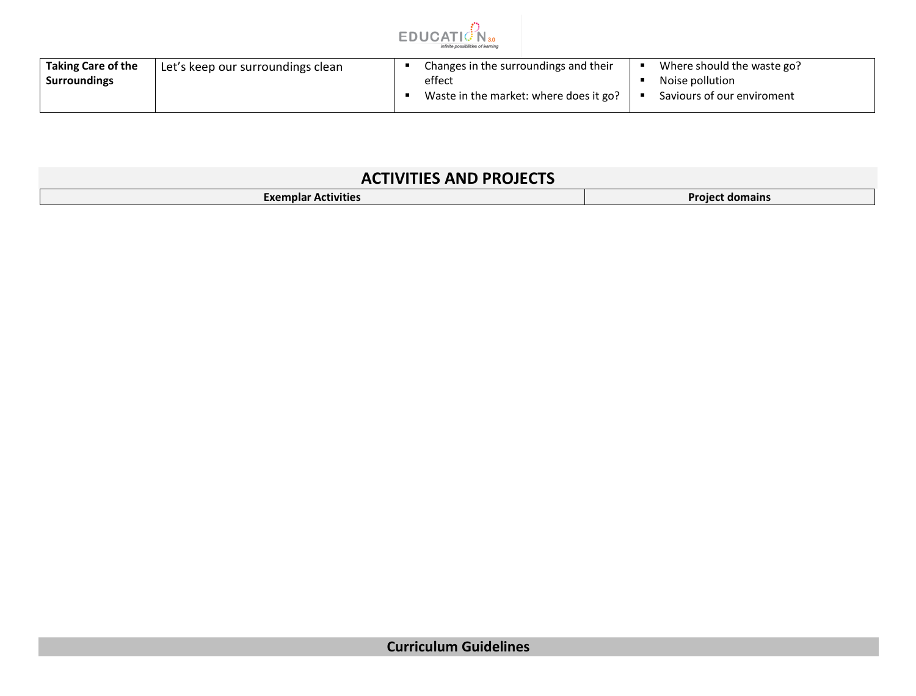

| <b>Taking Care of the</b> | Let's keep our surroundings clean | Changes in the surroundings and their  | Where should the waste go? |
|---------------------------|-----------------------------------|----------------------------------------|----------------------------|
| Surroundings              |                                   | effect                                 | Noise pollution            |
|                           |                                   | Waste in the market: where does it go? | Saviours of our enviroment |

### **ACTIVITIES AND PROJECTS**

| Projec<br>$\ldots$ ctivities $\ldots$<br>* domains<br>Exempla |
|---------------------------------------------------------------|
|---------------------------------------------------------------|